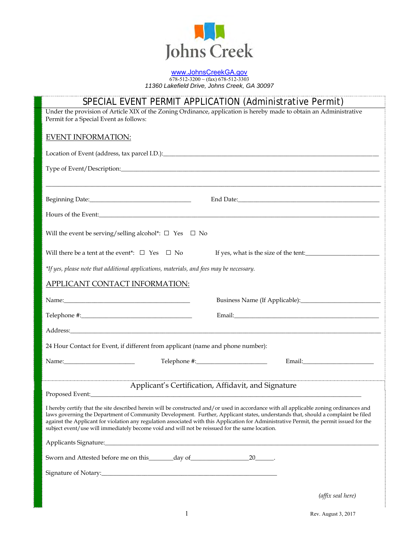

#### [www.JohnsCreekGA.gov](http://www.johnscreekga.gov/) 678-512-3200 ~ (fax) 678-512-3303 *11360 Lakefield Drive, Johns Creek, GA 30097*

| SPECIAL EVENT PERMIT APPLICATION (Administrative Permit)                                                                                                                                                                                                                                                                                                                                                                |                                                     |  |  |  |  |
|-------------------------------------------------------------------------------------------------------------------------------------------------------------------------------------------------------------------------------------------------------------------------------------------------------------------------------------------------------------------------------------------------------------------------|-----------------------------------------------------|--|--|--|--|
| Under the provision of Article XIX of the Zoning Ordinance, application is hereby made to obtain an Administrative                                                                                                                                                                                                                                                                                                      |                                                     |  |  |  |  |
| Permit for a Special Event as follows:                                                                                                                                                                                                                                                                                                                                                                                  |                                                     |  |  |  |  |
| <b>EVENT INFORMATION:</b>                                                                                                                                                                                                                                                                                                                                                                                               |                                                     |  |  |  |  |
|                                                                                                                                                                                                                                                                                                                                                                                                                         |                                                     |  |  |  |  |
|                                                                                                                                                                                                                                                                                                                                                                                                                         |                                                     |  |  |  |  |
|                                                                                                                                                                                                                                                                                                                                                                                                                         |                                                     |  |  |  |  |
|                                                                                                                                                                                                                                                                                                                                                                                                                         |                                                     |  |  |  |  |
|                                                                                                                                                                                                                                                                                                                                                                                                                         |                                                     |  |  |  |  |
|                                                                                                                                                                                                                                                                                                                                                                                                                         |                                                     |  |  |  |  |
|                                                                                                                                                                                                                                                                                                                                                                                                                         |                                                     |  |  |  |  |
|                                                                                                                                                                                                                                                                                                                                                                                                                         |                                                     |  |  |  |  |
| Will the event be serving/selling alcohol*: $\Box$ Yes $\Box$ No                                                                                                                                                                                                                                                                                                                                                        |                                                     |  |  |  |  |
|                                                                                                                                                                                                                                                                                                                                                                                                                         |                                                     |  |  |  |  |
| Will there be a tent at the event*: $\Box$ Yes $\Box$ No                                                                                                                                                                                                                                                                                                                                                                | If yes, what is the size of the tent:               |  |  |  |  |
| *If yes, please note that additional applications, materials, and fees may be necessary.                                                                                                                                                                                                                                                                                                                                |                                                     |  |  |  |  |
|                                                                                                                                                                                                                                                                                                                                                                                                                         |                                                     |  |  |  |  |
| APPLICANT CONTACT INFORMATION:                                                                                                                                                                                                                                                                                                                                                                                          |                                                     |  |  |  |  |
| Name: Name and the state of the state of the state of the state of the state of the state of the state of the state of the state of the state of the state of the state of the state of the state of the state of the state of                                                                                                                                                                                          |                                                     |  |  |  |  |
|                                                                                                                                                                                                                                                                                                                                                                                                                         |                                                     |  |  |  |  |
|                                                                                                                                                                                                                                                                                                                                                                                                                         |                                                     |  |  |  |  |
|                                                                                                                                                                                                                                                                                                                                                                                                                         |                                                     |  |  |  |  |
|                                                                                                                                                                                                                                                                                                                                                                                                                         |                                                     |  |  |  |  |
| 24 Hour Contact for Event, if different from applicant (name and phone number):                                                                                                                                                                                                                                                                                                                                         |                                                     |  |  |  |  |
| Name: Name                                                                                                                                                                                                                                                                                                                                                                                                              | Email: Email:                                       |  |  |  |  |
|                                                                                                                                                                                                                                                                                                                                                                                                                         |                                                     |  |  |  |  |
|                                                                                                                                                                                                                                                                                                                                                                                                                         | Applicant's Certification, Affidavit, and Signature |  |  |  |  |
| Proposed Event:                                                                                                                                                                                                                                                                                                                                                                                                         |                                                     |  |  |  |  |
| I hereby certify that the site described herein will be constructed and/or used in accordance with all applicable zoning ordinances and<br>laws governing the Department of Community Development. Further, Applicant states, understands that, should a complaint be filed<br>against the Applicant for violation any regulation associated with this Application for Administrative Permit, the permit issued for the |                                                     |  |  |  |  |
| subject event/use will immediately become void and will not be reissued for the same location.                                                                                                                                                                                                                                                                                                                          |                                                     |  |  |  |  |
|                                                                                                                                                                                                                                                                                                                                                                                                                         |                                                     |  |  |  |  |
|                                                                                                                                                                                                                                                                                                                                                                                                                         |                                                     |  |  |  |  |
|                                                                                                                                                                                                                                                                                                                                                                                                                         |                                                     |  |  |  |  |
|                                                                                                                                                                                                                                                                                                                                                                                                                         |                                                     |  |  |  |  |
|                                                                                                                                                                                                                                                                                                                                                                                                                         | (affix seal here)                                   |  |  |  |  |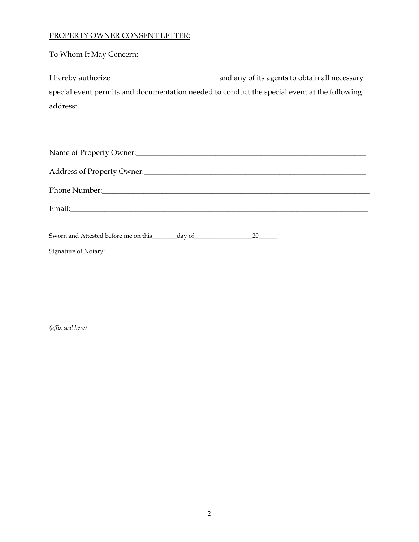# PROPERTY OWNER CONSENT LETTER:

To Whom It May Concern:

| I hereby authorize                                                                           | and any of its agents to obtain all necessary |
|----------------------------------------------------------------------------------------------|-----------------------------------------------|
| special event permits and documentation needed to conduct the special event at the following |                                               |
| address:                                                                                     |                                               |

*(affix seal here)*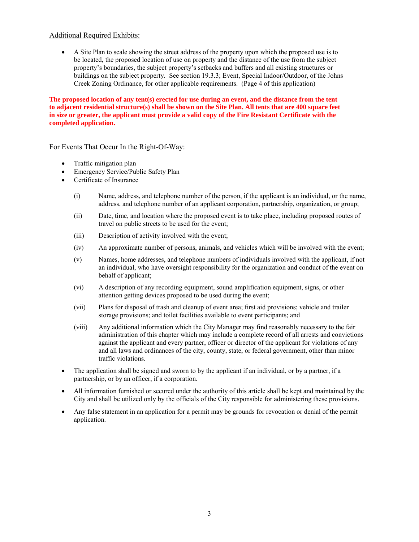## Additional Required Exhibits:

 A Site Plan to scale showing the street address of the property upon which the proposed use is to be located, the proposed location of use on property and the distance of the use from the subject property's boundaries, the subject property's setbacks and buffers and all existing structures or buildings on the subject property. See section 19.3.3; Event, Special Indoor/Outdoor, of the Johns Creek Zoning Ordinance, for other applicable requirements. (Page 4 of this application)

**The proposed location of any tent(s) erected for use during an event, and the distance from the tent to adjacent residential structure(s) shall be shown on the Site Plan. All tents that are 400 square feet in size or greater, the applicant must provide a valid copy of the Fire Resistant Certificate with the completed application.**

## For Events That Occur In the Right-Of-Way:

- Traffic mitigation plan
- Emergency Service/Public Safety Plan
- Certificate of Insurance
	- (i) Name, address, and telephone number of the person, if the applicant is an individual, or the name, address, and telephone number of an applicant corporation, partnership, organization, or group;
	- (ii) Date, time, and location where the proposed event is to take place, including proposed routes of travel on public streets to be used for the event;
	- (iii) Description of activity involved with the event;
	- (iv) An approximate number of persons, animals, and vehicles which will be involved with the event;
	- (v) Names, home addresses, and telephone numbers of individuals involved with the applicant, if not an individual, who have oversight responsibility for the organization and conduct of the event on behalf of applicant;
	- (vi) A description of any recording equipment, sound amplification equipment, signs, or other attention getting devices proposed to be used during the event;
	- (vii) Plans for disposal of trash and cleanup of event area; first aid provisions; vehicle and trailer storage provisions; and toilet facilities available to event participants; and
	- (viii) Any additional information which the City Manager may find reasonably necessary to the fair administration of this chapter which may include a complete record of all arrests and convictions against the applicant and every partner, officer or director of the applicant for violations of any and all laws and ordinances of the city, county, state, or federal government, other than minor traffic violations.
- The application shall be signed and sworn to by the applicant if an individual, or by a partner, if a partnership, or by an officer, if a corporation.
- All information furnished or secured under the authority of this article shall be kept and maintained by the City and shall be utilized only by the officials of the City responsible for administering these provisions.
- Any false statement in an application for a permit may be grounds for revocation or denial of the permit application.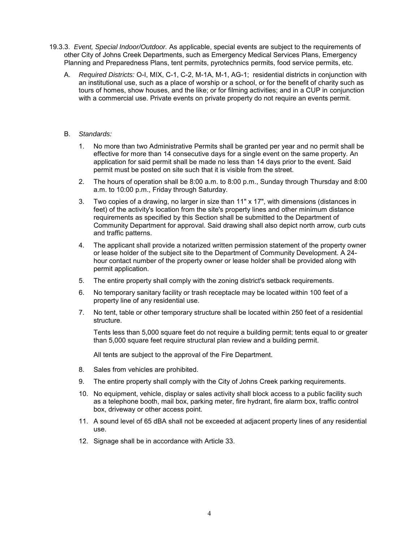- 19.3.3. *Event, Special Indoor/Outdoor.* As applicable, special events are subject to the requirements of other City of Johns Creek Departments, such as Emergency Medical Services Plans, Emergency Planning and Preparedness Plans, tent permits, pyrotechnics permits, food service permits, etc.
	- A. *Required Districts:* O-I, MIX, C-1, C-2, M-1A, M-1, AG-1; residential districts in conjunction with an institutional use, such as a place of worship or a school, or for the benefit of charity such as tours of homes, show houses, and the like; or for filming activities; and in a CUP in conjunction with a commercial use. Private events on private property do not require an events permit.

### B. *Standards:*

- 1. No more than two Administrative Permits shall be granted per year and no permit shall be effective for more than 14 consecutive days for a single event on the same property. An application for said permit shall be made no less than 14 days prior to the event. Said permit must be posted on site such that it is visible from the street.
- 2. The hours of operation shall be 8:00 a.m. to 8:00 p.m., Sunday through Thursday and 8:00 a.m. to 10:00 p.m., Friday through Saturday.
- 3. Two copies of a drawing, no larger in size than 11" x 17", with dimensions (distances in feet) of the activity's location from the site's property lines and other minimum distance requirements as specified by this Section shall be submitted to the Department of Community Department for approval. Said drawing shall also depict north arrow, curb cuts and traffic patterns.
- 4. The applicant shall provide a notarized written permission statement of the property owner or lease holder of the subject site to the Department of Community Development. A 24 hour contact number of the property owner or lease holder shall be provided along with permit application.
- 5. The entire property shall comply with the zoning district's setback requirements.
- 6. No temporary sanitary facility or trash receptacle may be located within 100 feet of a property line of any residential use.
- 7. No tent, table or other temporary structure shall be located within 250 feet of a residential structure.

Tents less than 5,000 square feet do not require a building permit; tents equal to or greater than 5,000 square feet require structural plan review and a building permit.

All tents are subject to the approval of the Fire Department.

- 8. Sales from vehicles are prohibited.
- 9. The entire property shall comply with the City of Johns Creek parking requirements.
- 10. No equipment, vehicle, display or sales activity shall block access to a public facility such as a telephone booth, mail box, parking meter, fire hydrant, fire alarm box, traffic control box, driveway or other access point.
- 11. A sound level of 65 dBA shall not be exceeded at adjacent property lines of any residential use.
- 12. Signage shall be in accordance with Article 33.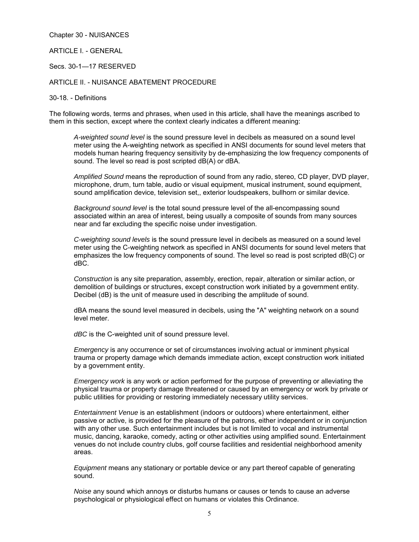Chapter 30 - NUISANCES

ARTICLE I. - GENERAL

Secs. 30-1—17 RESERVED

#### ARTICLE II. - NUISANCE ABATEMENT PROCEDURE

30-18. - Definitions

The following words, terms and phrases, when used in this article, shall have the meanings ascribed to them in this section, except where the context clearly indicates a different meaning:

*A-weighted sound level* is the sound pressure level in decibels as measured on a sound level meter using the A-weighting network as specified in ANSI documents for sound level meters that models human hearing frequency sensitivity by de-emphasizing the low frequency components of sound. The level so read is post scripted dB(A) or dBA.

*Amplified Sound* means the reproduction of sound from any radio, stereo, CD player, DVD player, microphone, drum, turn table, audio or visual equipment, musical instrument, sound equipment, sound amplification device, television set,, exterior loudspeakers, bullhorn or similar device.

*Background sound level* is the total sound pressure level of the all-encompassing sound associated within an area of interest, being usually a composite of sounds from many sources near and far excluding the specific noise under investigation.

*C-weighting sound levels* is the sound pressure level in decibels as measured on a sound level meter using the C-weighting network as specified in ANSI documents for sound level meters that emphasizes the low frequency components of sound. The level so read is post scripted dB(C) or dBC.

*Construction* is any site preparation, assembly, erection, repair, alteration or similar action, or demolition of buildings or structures, except construction work initiated by a government entity. Decibel (dB) is the unit of measure used in describing the amplitude of sound.

dBA means the sound level measured in decibels, using the "A" weighting network on a sound level meter.

*dBC* is the C-weighted unit of sound pressure level.

*Emergency* is any occurrence or set of circumstances involving actual or imminent physical trauma or property damage which demands immediate action, except construction work initiated by a government entity.

*Emergency work* is any work or action performed for the purpose of preventing or alleviating the physical trauma or property damage threatened or caused by an emergency or work by private or public utilities for providing or restoring immediately necessary utility services.

*Entertainment Venue* is an establishment (indoors or outdoors) where entertainment, either passive or active, is provided for the pleasure of the patrons, either independent or in conjunction with any other use. Such entertainment includes but is not limited to vocal and instrumental music, dancing, karaoke, comedy, acting or other activities using amplified sound. Entertainment venues do not include country clubs, golf course facilities and residential neighborhood amenity areas.

*Equipment* means any stationary or portable device or any part thereof capable of generating sound.

*Noise* any sound which annoys or disturbs humans or causes or tends to cause an adverse psychological or physiological effect on humans or violates this Ordinance.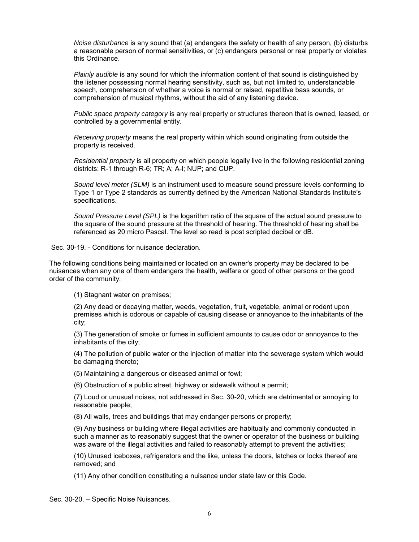*Noise disturbance* is any sound that (a) endangers the safety or health of any person, (b) disturbs a reasonable person of normal sensitivities, or (c) endangers personal or real property or violates this Ordinance.

*Plainly audible* is any sound for which the information content of that sound is distinguished by the listener possessing normal hearing sensitivity, such as, but not limited to, understandable speech, comprehension of whether a voice is normal or raised, repetitive bass sounds, or comprehension of musical rhythms, without the aid of any listening device.

*Public space property category* is any real property or structures thereon that is owned, leased, or controlled by a governmental entity.

*Receiving property* means the real property within which sound originating from outside the property is received.

*Residential property* is all property on which people legally live in the following residential zoning districts: R-1 through R-6; TR; A; A-l; NUP; and CUP.

*Sound level meter (SLM)* is an instrument used to measure sound pressure levels conforming to Type 1 or Type 2 standards as currently defined by the American National Standards Institute's specifications.

*Sound Pressure Level (SPL)* is the logarithm ratio of the square of the actual sound pressure to the square of the sound pressure at the threshold of hearing. The threshold of hearing shall be referenced as 20 micro Pascal. The level so read is post scripted decibel or dB.

Sec. 30-19. - Conditions for nuisance declaration.

The following conditions being maintained or located on an owner's property may be declared to be nuisances when any one of them endangers the health, welfare or good of other persons or the good order of the community:

(1) Stagnant water on premises;

(2) Any dead or decaying matter, weeds, vegetation, fruit, vegetable, animal or rodent upon premises which is odorous or capable of causing disease or annoyance to the inhabitants of the city;

(3) The generation of smoke or fumes in sufficient amounts to cause odor or annoyance to the inhabitants of the city;

(4) The pollution of public water or the injection of matter into the sewerage system which would be damaging thereto;

(5) Maintaining a dangerous or diseased animal or fowl;

(6) Obstruction of a public street, highway or sidewalk without a permit;

(7) Loud or unusual noises, not addressed in Sec. 30-20, which are detrimental or annoying to reasonable people;

(8) All walls, trees and buildings that may endanger persons or property;

(9) Any business or building where illegal activities are habitually and commonly conducted in such a manner as to reasonably suggest that the owner or operator of the business or building was aware of the illegal activities and failed to reasonably attempt to prevent the activities;

(10) Unused iceboxes, refrigerators and the like, unless the doors, latches or locks thereof are removed; and

(11) Any other condition constituting a nuisance under state law or this Code.

Sec. 30-20. – Specific Noise Nuisances.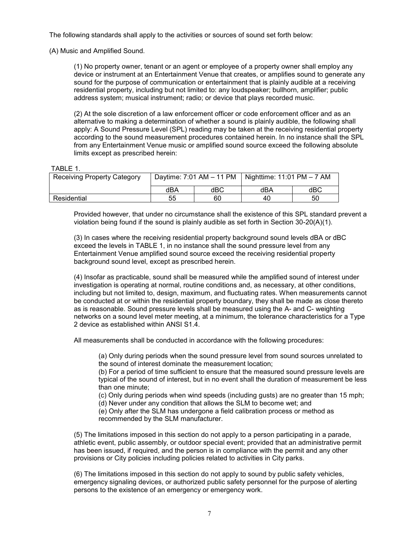The following standards shall apply to the activities or sources of sound set forth below:

(A) Music and Amplified Sound.

(1) No property owner, tenant or an agent or employee of a property owner shall employ any device or instrument at an Entertainment Venue that creates, or amplifies sound to generate any sound for the purpose of communication or entertainment that is plainly audible at a receiving residential property, including but not limited to: any loudspeaker; bullhorn, amplifier; public address system; musical instrument; radio; or device that plays recorded music.

(2) At the sole discretion of a law enforcement officer or code enforcement officer and as an alternative to making a determination of whether a sound is plainly audible, the following shall apply: A Sound Pressure Level (SPL) reading may be taken at the receiving residential property according to the sound measurement procedures contained herein. In no instance shall the SPL from any Entertainment Venue music or amplified sound source exceed the following absolute limits except as prescribed herein:

#### TABLE 1.

| <b>Receiving Property Category</b> | Daytime: $7:01$ AM $-$ 11 PM |     | Nighttime: $11:01$ PM $-7$ AM |     |
|------------------------------------|------------------------------|-----|-------------------------------|-----|
|                                    | dBA                          | dBC | dBA                           | dBC |
| Residential                        | 55                           | 60  | 40                            | 50  |

Provided however, that under no circumstance shall the existence of this SPL standard prevent a violation being found if the sound is plainly audible as set forth in Section 30-20(A)(1).

(3) In cases where the receiving residential property background sound levels dBA or dBC exceed the levels in TABLE 1, in no instance shall the sound pressure level from any Entertainment Venue amplified sound source exceed the receiving residential property background sound level, except as prescribed herein.

(4) Insofar as practicable, sound shall be measured while the amplified sound of interest under investigation is operating at normal, routine conditions and, as necessary, at other conditions, including but not limited to, design, maximum, and fluctuating rates. When measurements cannot be conducted at or within the residential property boundary, they shall be made as close thereto as is reasonable. Sound pressure levels shall be measured using the A- and C- weighting networks on a sound level meter meeting, at a minimum, the tolerance characteristics for a Type 2 device as established within ANSI S1.4.

All measurements shall be conducted in accordance with the following procedures:

(a) Only during periods when the sound pressure level from sound sources unrelated to the sound of interest dominate the measurement location;

(b) For a period of time sufficient to ensure that the measured sound pressure levels are typical of the sound of interest, but in no event shall the duration of measurement be less than one minute;

(c) Only during periods when wind speeds (including gusts) are no greater than 15 mph;

(d) Never under any condition that allows the SLM to become wet; and

(e) Only after the SLM has undergone a field calibration process or method as recommended by the SLM manufacturer.

(5) The limitations imposed in this section do not apply to a person participating in a parade, athletic event, public assembly, or outdoor special event; provided that an administrative permit has been issued, if required, and the person is in compliance with the permit and any other provisions or City policies including policies related to activities in City parks.

(6) The limitations imposed in this section do not apply to sound by public safety vehicles, emergency signaling devices, or authorized public safety personnel for the purpose of alerting persons to the existence of an emergency or emergency work.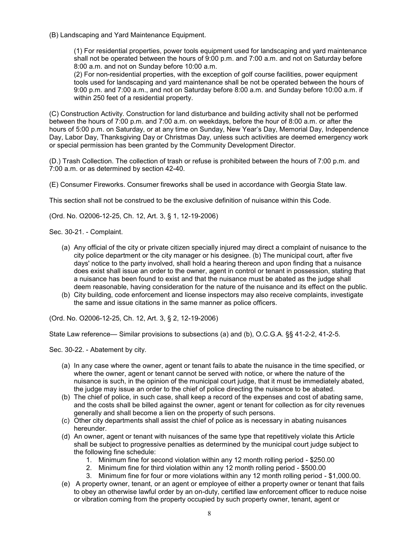(B) Landscaping and Yard Maintenance Equipment.

(1) For residential properties, power tools equipment used for landscaping and yard maintenance shall not be operated between the hours of 9:00 p.m. and 7:00 a.m. and not on Saturday before 8:00 a.m. and not on Sunday before 10:00 a.m.

(2) For non-residential properties, with the exception of golf course facilities, power equipment tools used for landscaping and yard maintenance shall be not be operated between the hours of 9:00 p.m. and 7:00 a.m., and not on Saturday before 8:00 a.m. and Sunday before 10:00 a.m. if within 250 feet of a residential property.

(C) Construction Activity. Construction for land disturbance and building activity shall not be performed between the hours of 7:00 p.m. and 7:00 a.m. on weekdays, before the hour of 8:00 a.m. or after the hours of 5:00 p.m. on Saturday, or at any time on Sunday, New Year's Day, Memorial Day, Independence Day, Labor Day, Thanksgiving Day or Christmas Day, unless such activities are deemed emergency work or special permission has been granted by the Community Development Director.

(D.) Trash Collection. The collection of trash or refuse is prohibited between the hours of 7:00 p.m. and 7:00 a.m. or as determined by section 42-40.

(E) Consumer Fireworks. Consumer fireworks shall be used in accordance with Georgia State law.

This section shall not be construed to be the exclusive definition of nuisance within this Code.

(Ord. No. O2006-12-25, Ch. 12, Art. 3, § 1, 12-19-2006)

Sec. 30-21. - Complaint.

- (a) Any official of the city or private citizen specially injured may direct a complaint of nuisance to the city police department or the city manager or his designee. (b) The municipal court, after five days' notice to the party involved, shall hold a hearing thereon and upon finding that a nuisance does exist shall issue an order to the owner, agent in control or tenant in possession, stating that a nuisance has been found to exist and that the nuisance must be abated as the judge shall deem reasonable, having consideration for the nature of the nuisance and its effect on the public.
- (b) City building, code enforcement and license inspectors may also receive complaints, investigate the same and issue citations in the same manner as police officers.

(Ord. No. O2006-12-25, Ch. 12, Art. 3, § 2, 12-19-2006)

State Law reference— Similar provisions to subsections (a) and (b), O.C.G.A. §§ 41-2-2, 41-2-5.

Sec. 30-22. - Abatement by city.

- (a) In any case where the owner, agent or tenant fails to abate the nuisance in the time specified, or where the owner, agent or tenant cannot be served with notice, or where the nature of the nuisance is such, in the opinion of the municipal court judge, that it must be immediately abated, the judge may issue an order to the chief of police directing the nuisance to be abated.
- (b) The chief of police, in such case, shall keep a record of the expenses and cost of abating same, and the costs shall be billed against the owner, agent or tenant for collection as for city revenues generally and shall become a lien on the property of such persons.
- (c) Other city departments shall assist the chief of police as is necessary in abating nuisances hereunder.
- (d) An owner, agent or tenant with nuisances of the same type that repetitively violate this Article shall be subject to progressive penalties as determined by the municipal court judge subject to the following fine schedule:
	- 1. Minimum fine for second violation within any 12 month rolling period \$250.00
	- 2. Minimum fine for third violation within any 12 month rolling period \$500.00
	- 3. Minimum fine for four or more violations within any 12 month rolling period \$1,000.00.
- (e) A property owner, tenant, or an agent or employee of either a property owner or tenant that fails to obey an otherwise lawful order by an on-duty, certified law enforcement officer to reduce noise or vibration coming from the property occupied by such property owner, tenant, agent or